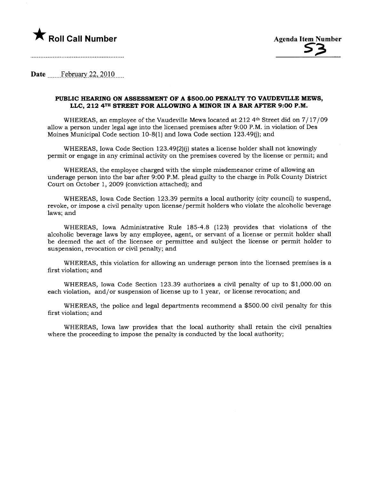

Date February 22, 2010

## PUBLIC HEARNG ON ASSESSMENT OF A \$500.00 PENALTY TO VAUDEVILE MEWS, LLC, 212 4TH STREET FOR ALLOWING A MINOR IN A BAR AFTER 9:00 P.M.

WHEREAS, an employee of the Vaudeville Mews located at 212 4<sup>th</sup> Street did on 7/17/09 allow a person under legal age into the licensed premises after 9:00 P.M. in violation of Des Moines Municipal Code section 10-8(1) and Iowa Code section 123.49(i); and

WHEREAS, Iowa Code Section 123.49(2)(j) states a license holder shall not knowingly permit or engage in any criminal activity on the premises covered by the license or permit; and

WHEREAS, the employee charged with the simple misdemeanor crime of allowing an underage person into the bar after 9:00 P.M. plead guilty to the charge in Polk County District Court on October 1,2009 (conviction attached); and

WHEREAS, Iowa Code Section 123.39 permits a local authority (city council) to suspend, revoke, or impose a civil penalty upon license/permit holders who violate the alcoholic beverage laws; and

WHEREAS, Iowa Administrative Rule 185-4.8 (123) provides that violations of the alcoholic beverage laws by any employee, agent, or servant of a license or permit holder shall be deemed the act of the licensee or permittee and subject the license or permit holder to suspension, revocation or civil penalty; and

WHEREAS, this violation for allowing an underage person into the licensed premises is a first violation; and

WHEREAS, Iowa Code Section 123.39 authorizes a civil penalty of up to \$1,000.00 on each violation, and/or suspension of license up to 1 year, or license revocation; and

WHEREAS, the police and legal departments recommend a \$500.00 civil penalty for this first violation; and

WHEREAS, Iowa law provides that the local authority shall retain the civil penalties where the proceeding to impose the penalty is conducted by the local authority;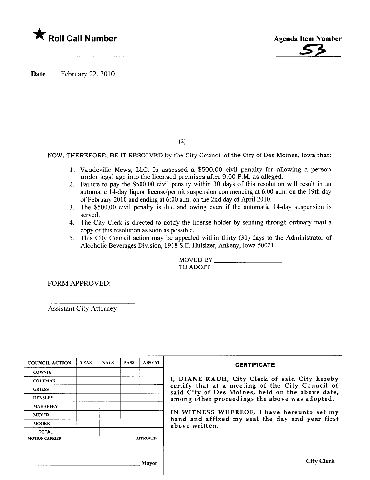

Date ...\_\_\_\_f~RD:ar.22,)Q1Q......



(2)

NOW, THEREFORE, BE IT RESOLVED by the City Council of the City of Des Moines, Iowa that:

- 1. Vaudevile Mews, LLC. Is assessed a \$500.00 civil penalty for allowing a person under legal age into the licensed premises after 9:00 P.M. as alleged.
- 2. Failure to pay the \$500.00 civil penalty within 30 days of this resolution wil result in an automatic 14-day liquor license/permit suspension commencing at 6:00 a.m. on the 19th day of February 2010 and ending at  $6:00$  a.m. on the 2nd day of April 2010.
- 3. The \$500.00 civil penalty is due and owing even if the automatic 14-day suspension is served.
- 4. The City Clerk is directed to notify the license holder by sending through ordinary mail a copy of this resolution as soon as possible.
- 5. This City Council action may be appealed within thirty (30) days to the Administrator of Alcoholic Beverages Division, 1918 S.E. Hulsizer, Ankeny, Iowa 50021.

MOVED BY TO ADOPT

FORM APPROVED:

Assistant City Attorney

| <b>COUNCIL ACTION</b> | <b>YEAS</b> | <b>NAYS</b> | <b>PASS</b> | <b>ABSENT</b>   | <b>CERTIFICATE</b>                                                                                                                                                                                                                                                                                                         |
|-----------------------|-------------|-------------|-------------|-----------------|----------------------------------------------------------------------------------------------------------------------------------------------------------------------------------------------------------------------------------------------------------------------------------------------------------------------------|
| <b>COWNIE</b>         |             |             |             |                 | I, DIANE RAUH, City Clerk of said City hereby<br>certify that at a meeting of the City Council of<br>said City of Des Moines, held on the above date,<br>among other proceedings the above was adopted.<br>IN WITNESS WHEREOF, I have hereunto set my<br>hand and affixed my seal the day and year first<br>above written. |
| <b>COLEMAN</b>        |             |             |             |                 |                                                                                                                                                                                                                                                                                                                            |
| <b>GRIESS</b>         |             |             |             |                 |                                                                                                                                                                                                                                                                                                                            |
| <b>HENSLEY</b>        |             |             |             |                 |                                                                                                                                                                                                                                                                                                                            |
| <b>MAHAFFEY</b>       |             |             |             |                 |                                                                                                                                                                                                                                                                                                                            |
| <b>MEYER</b>          |             |             |             |                 |                                                                                                                                                                                                                                                                                                                            |
| <b>MOORE</b>          |             |             |             |                 |                                                                                                                                                                                                                                                                                                                            |
| <b>TOTAL</b>          |             |             |             |                 |                                                                                                                                                                                                                                                                                                                            |
| <b>MOTION CARRIED</b> |             |             |             | <b>APPROVED</b> |                                                                                                                                                                                                                                                                                                                            |
|                       |             |             |             |                 |                                                                                                                                                                                                                                                                                                                            |
|                       |             |             |             |                 |                                                                                                                                                                                                                                                                                                                            |
|                       |             |             |             | Mayor           | <b>City Clerk</b>                                                                                                                                                                                                                                                                                                          |